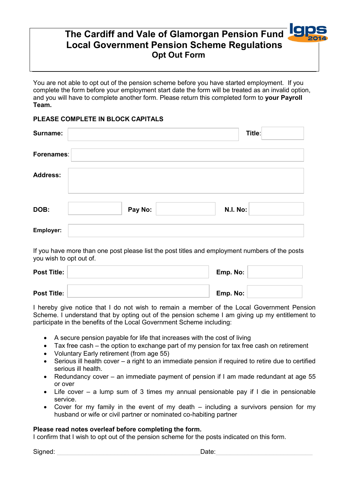# **The Cardiff and Vale of Glamorgan Pension Fund Local Government Pension Scheme Regulations Opt Out Form**

You are not able to opt out of the pension scheme before you have started employment. If you complete the form before your employment start date the form will be treated as an invalid option, and you will have to complete another form. Please return this completed form to **your Payroll Team.** 

## **PLEASE COMPLETE IN BLOCK CAPITALS**

| Surname:        |         | Title:          |
|-----------------|---------|-----------------|
| Forenames:      |         |                 |
| <b>Address:</b> |         |                 |
| DOB:            | Pay No: | <b>N.I. No:</b> |
| Employer:       |         |                 |

If you have more than one post please list the post titles and employment numbers of the posts you wish to opt out of.

| <b>Post Title:</b> | Emp. No: |  |
|--------------------|----------|--|
| <b>Post Title:</b> | Emp. No: |  |

I hereby give notice that I do not wish to remain a member of the Local Government Pension Scheme. I understand that by opting out of the pension scheme I am giving up my entitlement to participate in the benefits of the Local Government Scheme including:

- A secure pension payable for life that increases with the cost of living
- Tax free cash the option to exchange part of my pension for tax free cash on retirement
- Voluntary Early retirement (from age 55)
- Serious ill health cover a right to an immediate pension if required to retire due to certified serious ill health.
- Redundancy cover an immediate payment of pension if I am made redundant at age 55 or over
- Life cover a lump sum of 3 times my annual pensionable pay if I die in pensionable service.
- Cover for my family in the event of my death including a survivors pension for my husband or wife or civil partner or nominated co-habiting partner

### **Please read notes overleaf before completing the form.**

I confirm that I wish to opt out of the pension scheme for the posts indicated on this form.

Signed: \_\_\_\_\_\_\_\_\_\_\_\_\_\_\_\_\_\_\_\_\_\_\_\_\_\_\_\_\_\_\_\_\_\_\_\_\_\_\_\_Date:\_\_\_\_\_\_\_\_\_\_\_\_\_\_\_\_\_\_\_\_\_\_\_\_\_\_\_